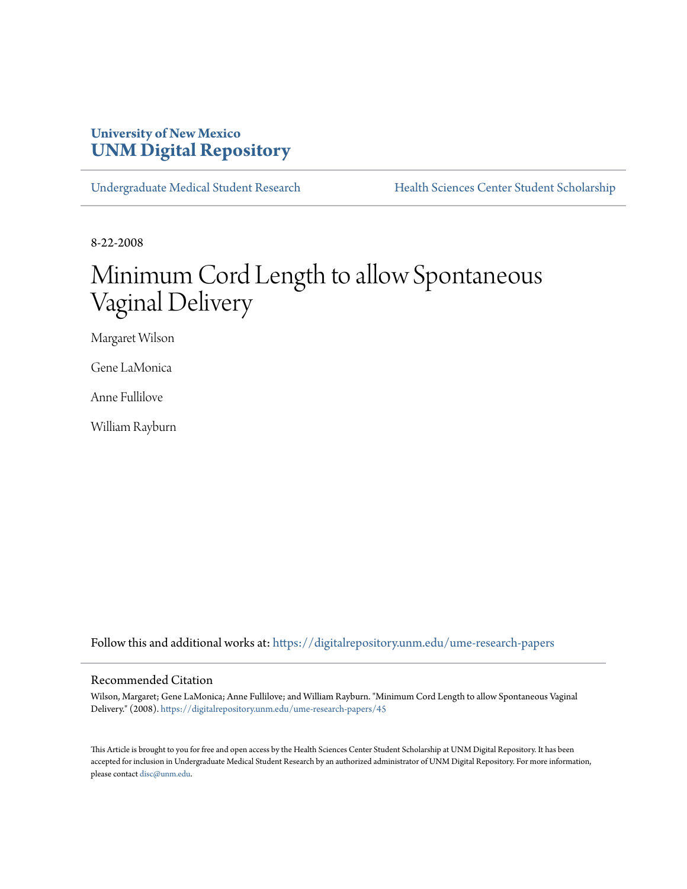### **University of New Mexico [UNM Digital Repository](https://digitalrepository.unm.edu?utm_source=digitalrepository.unm.edu%2Fume-research-papers%2F45&utm_medium=PDF&utm_campaign=PDFCoverPages)**

[Undergraduate Medical Student Research](https://digitalrepository.unm.edu/ume-research-papers?utm_source=digitalrepository.unm.edu%2Fume-research-papers%2F45&utm_medium=PDF&utm_campaign=PDFCoverPages) [Health Sciences Center Student Scholarship](https://digitalrepository.unm.edu/hsc-students?utm_source=digitalrepository.unm.edu%2Fume-research-papers%2F45&utm_medium=PDF&utm_campaign=PDFCoverPages)

8-22-2008

# Minimum Cord Length to allow Spontaneous Vaginal Delivery

Margaret Wilson

Gene LaMonica

Anne Fullilove

William Rayburn

Follow this and additional works at: [https://digitalrepository.unm.edu/ume-research-papers](https://digitalrepository.unm.edu/ume-research-papers?utm_source=digitalrepository.unm.edu%2Fume-research-papers%2F45&utm_medium=PDF&utm_campaign=PDFCoverPages)

#### Recommended Citation

Wilson, Margaret; Gene LaMonica; Anne Fullilove; and William Rayburn. "Minimum Cord Length to allow Spontaneous Vaginal Delivery." (2008). [https://digitalrepository.unm.edu/ume-research-papers/45](https://digitalrepository.unm.edu/ume-research-papers/45?utm_source=digitalrepository.unm.edu%2Fume-research-papers%2F45&utm_medium=PDF&utm_campaign=PDFCoverPages)

This Article is brought to you for free and open access by the Health Sciences Center Student Scholarship at UNM Digital Repository. It has been accepted for inclusion in Undergraduate Medical Student Research by an authorized administrator of UNM Digital Repository. For more information, please contact [disc@unm.edu.](mailto:disc@unm.edu)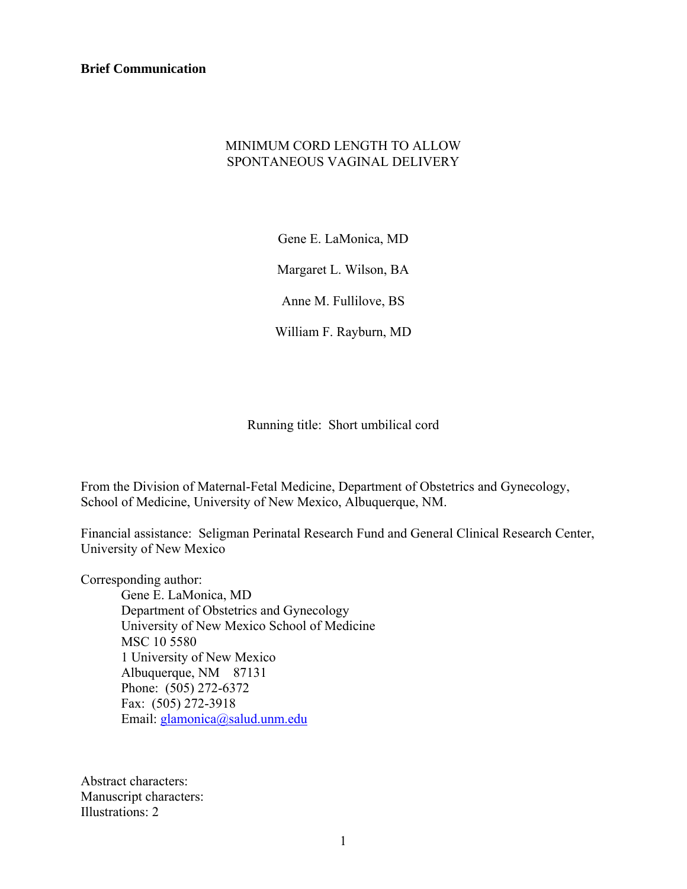**Brief Communication** 

### MINIMUM CORD LENGTH TO ALLOW SPONTANEOUS VAGINAL DELIVERY

Gene E. LaMonica, MD

Margaret L. Wilson, BA

Anne M. Fullilove, BS

William F. Rayburn, MD

Running title: Short umbilical cord

From the Division of Maternal-Fetal Medicine, Department of Obstetrics and Gynecology, School of Medicine, University of New Mexico, Albuquerque, NM.

Financial assistance: Seligman Perinatal Research Fund and General Clinical Research Center, University of New Mexico

Corresponding author:

Gene E. LaMonica, MD Department of Obstetrics and Gynecology University of New Mexico School of Medicine MSC 10 5580 1 University of New Mexico Albuquerque, NM 87131 Phone: (505) 272-6372 Fax: (505) 272-3918 Email: [glamonica@salud.unm.edu](mailto:glamonica@salud.unm.edu) 

Abstract characters: Manuscript characters: Illustrations: 2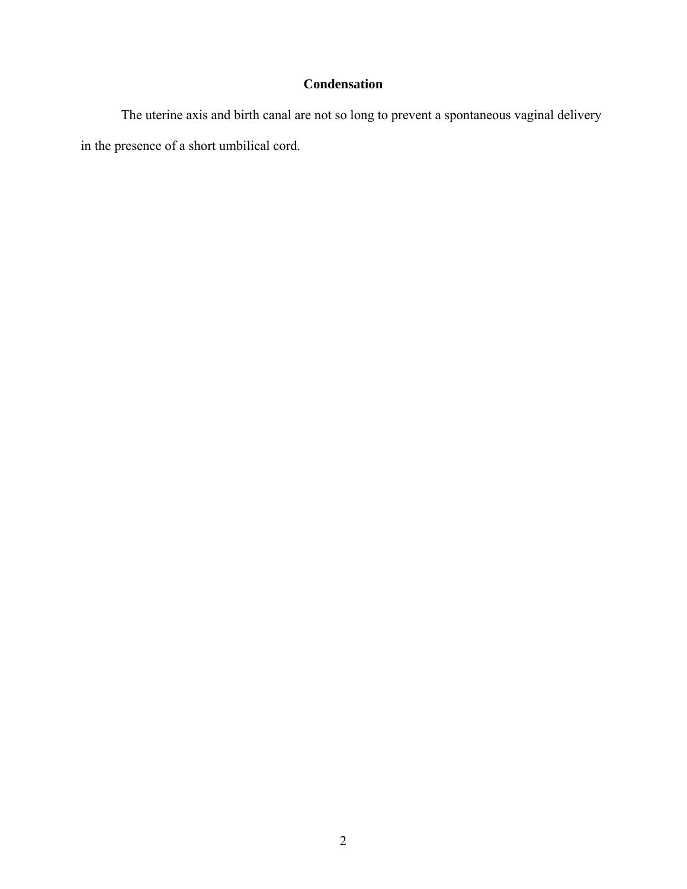## **Condensation**

The uterine axis and birth canal are not so long to prevent a spontaneous vaginal delivery in the presence of a short umbilical cord.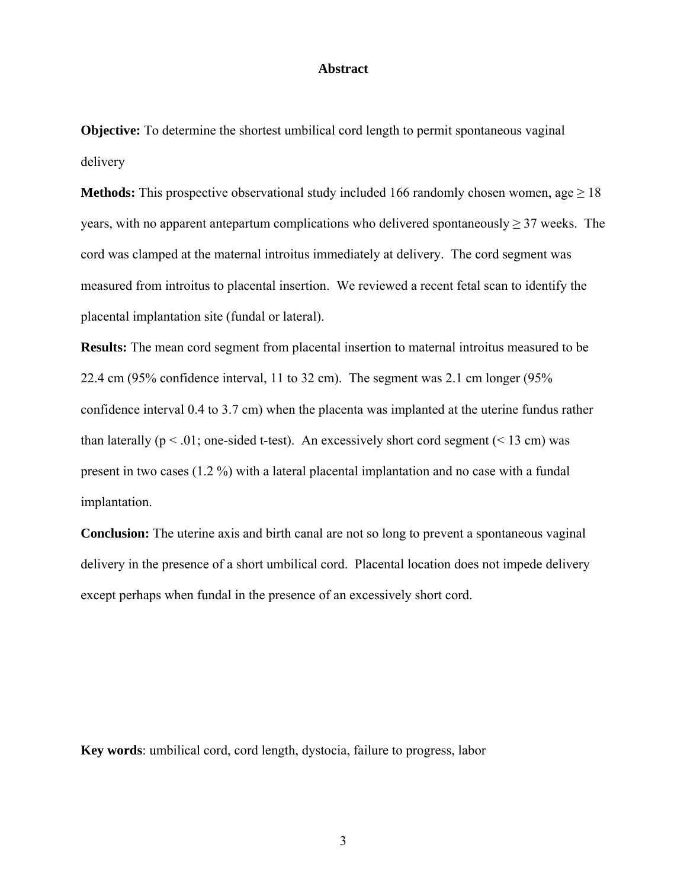### **Abstract**

**Objective:** To determine the shortest umbilical cord length to permit spontaneous vaginal delivery

**Methods:** This prospective observational study included 166 randomly chosen women, age  $\geq 18$ years, with no apparent antepartum complications who delivered spontaneously  $\geq$  37 weeks. The cord was clamped at the maternal introitus immediately at delivery. The cord segment was measured from introitus to placental insertion. We reviewed a recent fetal scan to identify the placental implantation site (fundal or lateral).

**Results:** The mean cord segment from placental insertion to maternal introitus measured to be 22.4 cm (95% confidence interval, 11 to 32 cm). The segment was 2.1 cm longer (95% confidence interval 0.4 to 3.7 cm) when the placenta was implanted at the uterine fundus rather than laterally ( $p < .01$ ; one-sided t-test). An excessively short cord segment ( $< 13$  cm) was present in two cases (1.2 %) with a lateral placental implantation and no case with a fundal implantation.

**Conclusion:** The uterine axis and birth canal are not so long to prevent a spontaneous vaginal delivery in the presence of a short umbilical cord. Placental location does not impede delivery except perhaps when fundal in the presence of an excessively short cord.

**Key words**: umbilical cord, cord length, dystocia, failure to progress, labor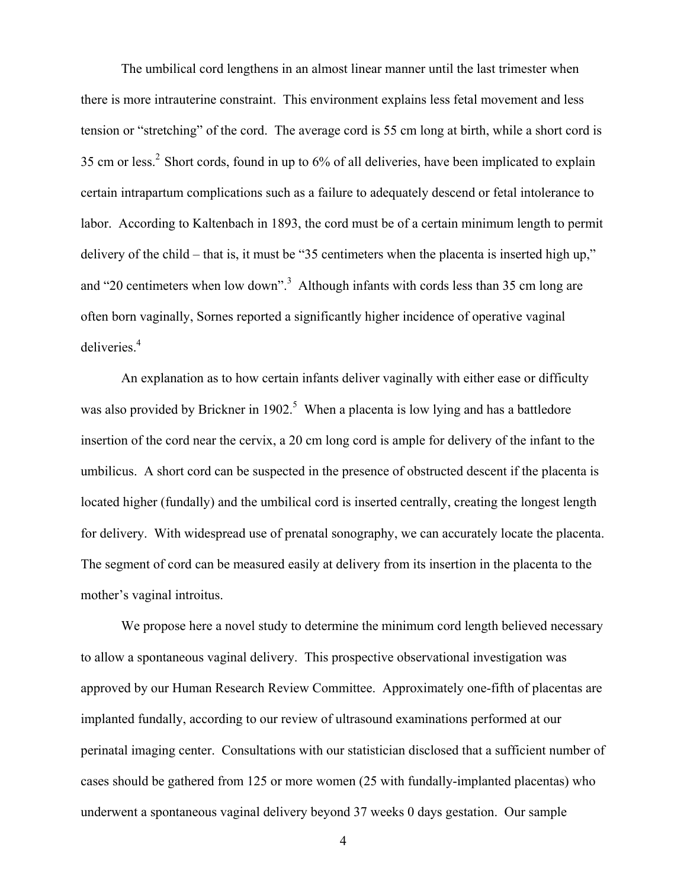The umbilical cord lengthens in an almost linear manner until the last trimester when there is more intrauterine constraint. This environment explains less fetal movement and less tension or "stretching" of the cord. The average cord is 55 cm long at birth, while a short cord is 35 cm or less.2 Short cords, found in up to 6% of all deliveries, have been implicated to explain certain intrapartum complications such as a failure to adequately descend or fetal intolerance to labor. According to Kaltenbach in 1893, the cord must be of a certain minimum length to permit delivery of the child – that is, it must be "35 centimeters when the placenta is inserted high up," and "20 centimeters when low down".<sup>3</sup> Although infants with cords less than 35 cm long are often born vaginally, Sornes reported a significantly higher incidence of operative vaginal deliveries.<sup>4</sup>

An explanation as to how certain infants deliver vaginally with either ease or difficulty was also provided by Brickner in 1902.<sup>5</sup> When a placenta is low lying and has a battledore insertion of the cord near the cervix, a 20 cm long cord is ample for delivery of the infant to the umbilicus. A short cord can be suspected in the presence of obstructed descent if the placenta is located higher (fundally) and the umbilical cord is inserted centrally, creating the longest length for delivery. With widespread use of prenatal sonography, we can accurately locate the placenta. The segment of cord can be measured easily at delivery from its insertion in the placenta to the mother's vaginal introitus.

We propose here a novel study to determine the minimum cord length believed necessary to allow a spontaneous vaginal delivery. This prospective observational investigation was approved by our Human Research Review Committee. Approximately one-fifth of placentas are implanted fundally, according to our review of ultrasound examinations performed at our perinatal imaging center. Consultations with our statistician disclosed that a sufficient number of cases should be gathered from 125 or more women (25 with fundally-implanted placentas) who underwent a spontaneous vaginal delivery beyond 37 weeks 0 days gestation. Our sample

4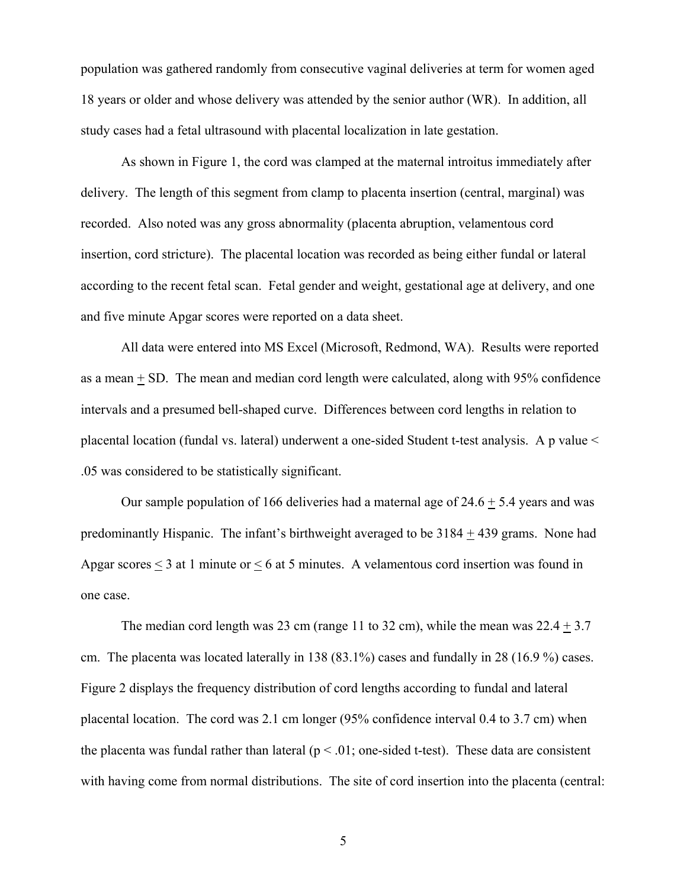population was gathered randomly from consecutive vaginal deliveries at term for women aged 18 years or older and whose delivery was attended by the senior author (WR). In addition, all study cases had a fetal ultrasound with placental localization in late gestation.

As shown in Figure 1, the cord was clamped at the maternal introitus immediately after delivery. The length of this segment from clamp to placenta insertion (central, marginal) was recorded. Also noted was any gross abnormality (placenta abruption, velamentous cord insertion, cord stricture). The placental location was recorded as being either fundal or lateral according to the recent fetal scan. Fetal gender and weight, gestational age at delivery, and one and five minute Apgar scores were reported on a data sheet.

All data were entered into MS Excel (Microsoft, Redmond, WA). Results were reported as a mean + SD. The mean and median cord length were calculated, along with 95% confidence intervals and a presumed bell-shaped curve. Differences between cord lengths in relation to placental location (fundal vs. lateral) underwent a one-sided Student t-test analysis. A p value < .05 was considered to be statistically significant.

Our sample population of 166 deliveries had a maternal age of  $24.6 + 5.4$  years and was predominantly Hispanic. The infant's birthweight averaged to be 3184 + 439 grams. None had Apgar scores < 3 at 1 minute or < 6 at 5 minutes. A velamentous cord insertion was found in one case.

The median cord length was 23 cm (range 11 to 32 cm), while the mean was  $22.4 \pm 3.7$ cm. The placenta was located laterally in 138 (83.1%) cases and fundally in 28 (16.9 %) cases. Figure 2 displays the frequency distribution of cord lengths according to fundal and lateral placental location. The cord was 2.1 cm longer (95% confidence interval 0.4 to 3.7 cm) when the placenta was fundal rather than lateral ( $p < .01$ ; one-sided t-test). These data are consistent with having come from normal distributions. The site of cord insertion into the placenta (central:

5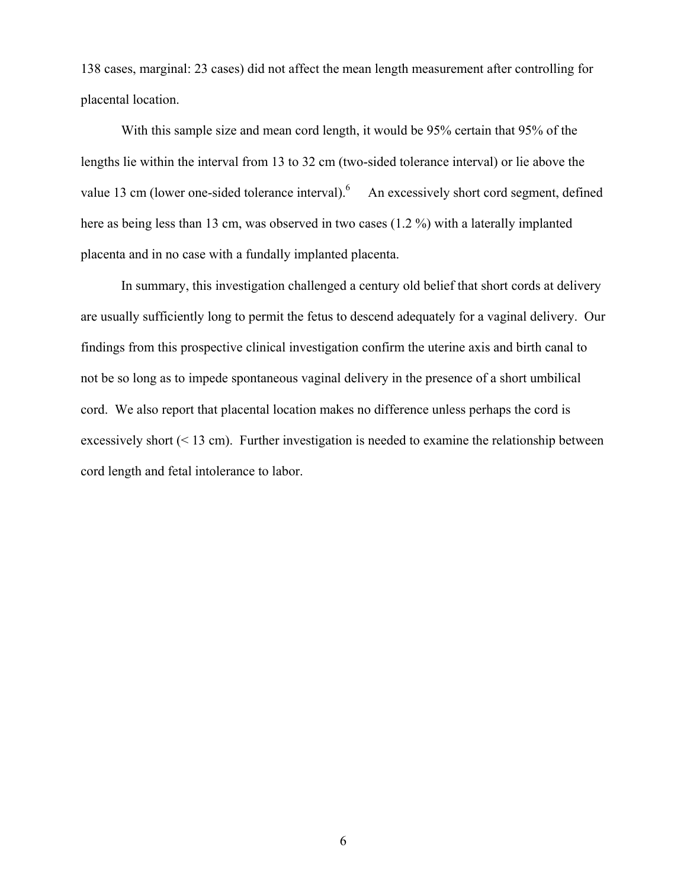138 cases, marginal: 23 cases) did not affect the mean length measurement after controlling for placental location.

 With this sample size and mean cord length, it would be 95% certain that 95% of the lengths lie within the interval from 13 to 32 cm (two-sided tolerance interval) or lie above the value 13 cm (lower one-sided tolerance interval).  $6$  An excessively short cord segment, defined here as being less than 13 cm, was observed in two cases (1.2 %) with a laterally implanted placenta and in no case with a fundally implanted placenta.

In summary, this investigation challenged a century old belief that short cords at delivery are usually sufficiently long to permit the fetus to descend adequately for a vaginal delivery. Our findings from this prospective clinical investigation confirm the uterine axis and birth canal to not be so long as to impede spontaneous vaginal delivery in the presence of a short umbilical cord. We also report that placental location makes no difference unless perhaps the cord is excessively short  $(< 13$  cm). Further investigation is needed to examine the relationship between cord length and fetal intolerance to labor.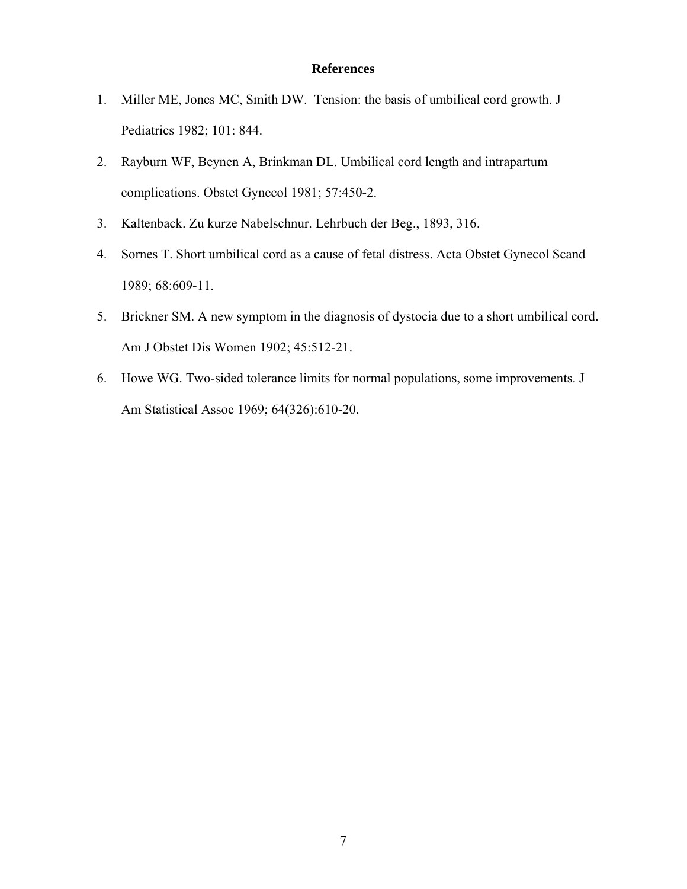### **References**

- 1. Miller ME, Jones MC, Smith DW. Tension: the basis of umbilical cord growth. J Pediatrics 1982; 101: 844.
- 2. Rayburn WF, Beynen A, Brinkman DL. Umbilical cord length and intrapartum complications. Obstet Gynecol 1981; 57:450-2.
- 3. Kaltenback. Zu kurze Nabelschnur. Lehrbuch der Beg., 1893, 316.
- 4. Sornes T. Short umbilical cord as a cause of fetal distress. Acta Obstet Gynecol Scand 1989; 68:609-11.
- 5. Brickner SM. A new symptom in the diagnosis of dystocia due to a short umbilical cord. Am J Obstet Dis Women 1902; 45:512-21.
- 6. Howe WG. Two-sided tolerance limits for normal populations, some improvements. J Am Statistical Assoc 1969; 64(326):610-20.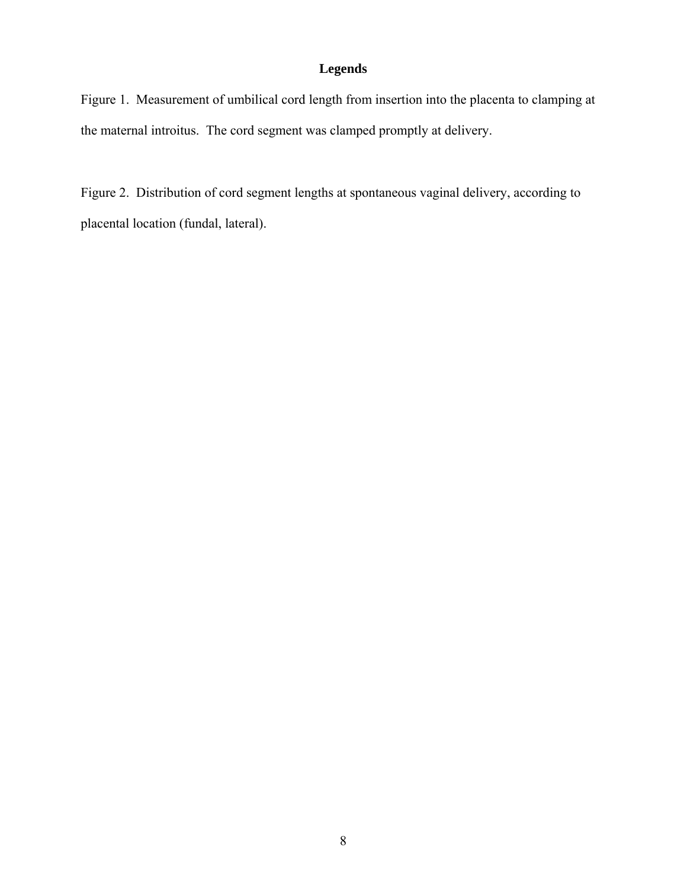### **Legends**

Figure 1. Measurement of umbilical cord length from insertion into the placenta to clamping at the maternal introitus. The cord segment was clamped promptly at delivery.

Figure 2. Distribution of cord segment lengths at spontaneous vaginal delivery, according to placental location (fundal, lateral).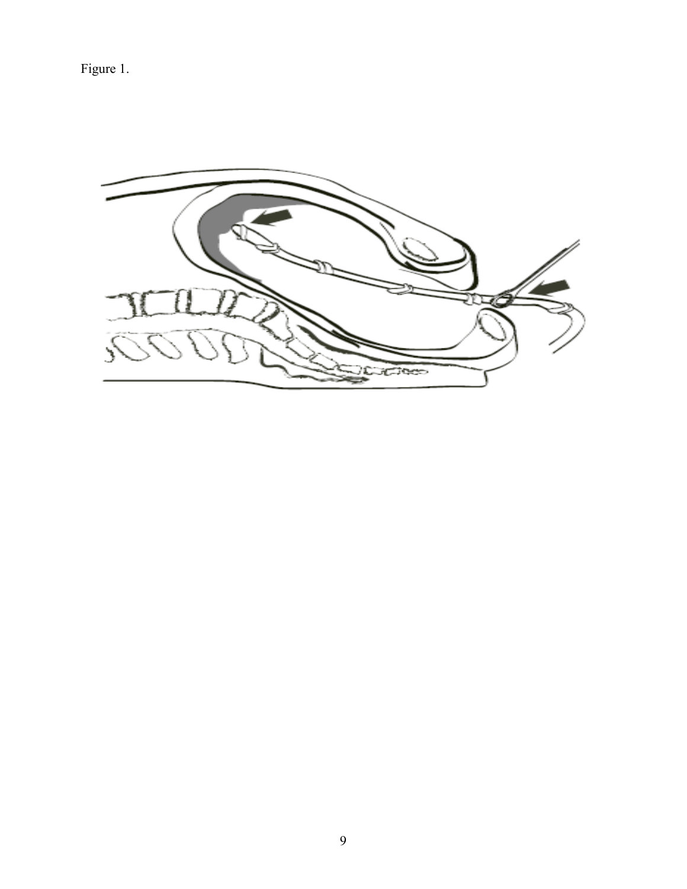Figure 1.